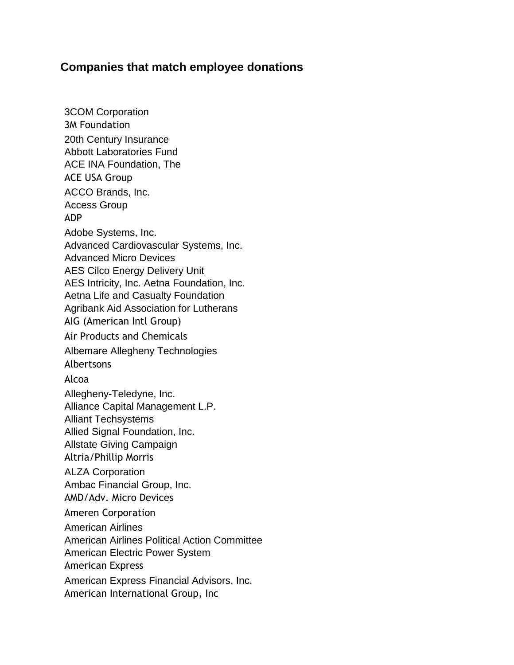## **Companies that match employee donations**

3COM Corporation 3M Foundation 20th Century Insurance Abbott Laboratories Fund ACE INA Foundation, The ACE USA Group ACCO Brands, Inc. Access Group ADP Adobe Systems, Inc. Advanced Cardiovascular Systems, Inc. Advanced Micro Devices AES Cilco Energy Delivery Unit AES Intricity, Inc. Aetna Foundation, Inc. Aetna Life and Casualty Foundation Agribank Aid Association for Lutherans AIG (American Intl Group) Air Products and Chemicals Albemare Allegheny Technologies Albertsons Alcoa Allegheny-Teledyne, Inc. Alliance Capital Management L.P. Alliant Techsystems Allied Signal Foundation, Inc. Allstate Giving Campaign Altria/Phillip Morris ALZA Corporation Ambac Financial Group, Inc. AMD/Adv. Micro Devices Ameren Corporation American Airlines American Airlines Political Action Committee American Electric Power System American Express American Express Financial Advisors, Inc. American International Group, Inc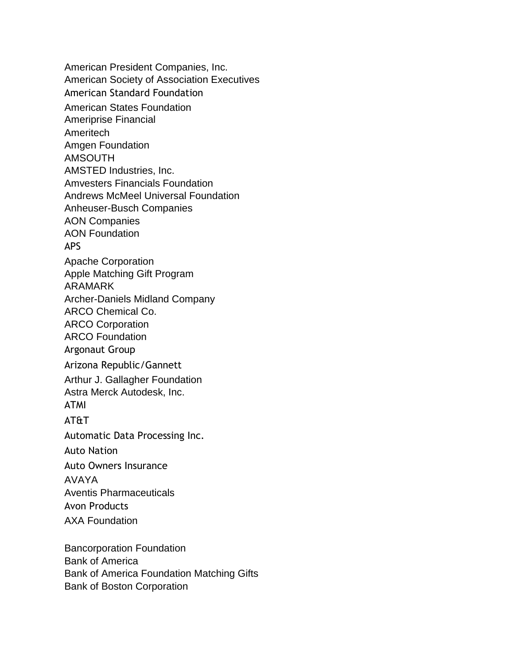American President Companies, Inc. American Society of Association Executives American Standard Foundation American States Foundation Ameriprise Financial Ameritech Amgen Foundation AMSOUTH AMSTED Industries, Inc. Amvesters Financials Foundation Andrews McMeel Universal Foundation Anheuser-Busch Companies AON Companies AON Foundation APS Apache Corporation Apple Matching Gift Program ARAMARK Archer-Daniels Midland Company ARCO Chemical Co. ARCO Corporation ARCO Foundation Argonaut Group Arizona Republic/Gannett Arthur J. Gallagher Foundation Astra Merck Autodesk, Inc. ATMI AT&T Automatic Data Processing Inc. Auto Nation Auto Owners Insurance AVAYA Aventis Pharmaceuticals Avon Products AXA Foundation Bancorporation Foundation

Bank of America Bank of America Foundation Matching Gifts Bank of Boston Corporation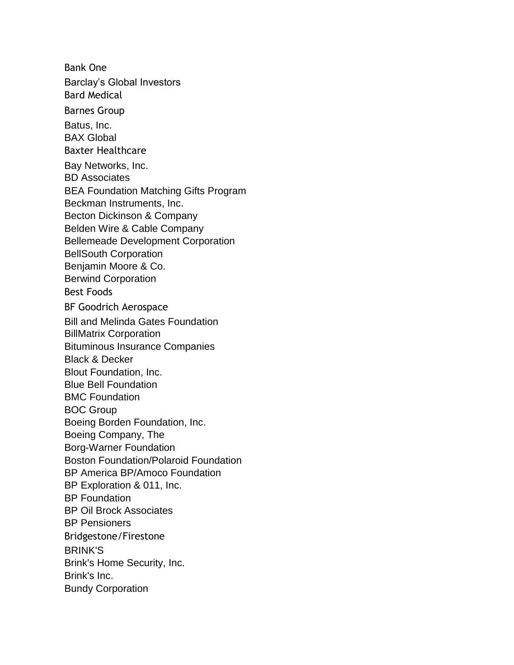Bank One Barclay's Global Investors Bard Medical Barnes Group Batus, Inc. BAX Global Baxter Healthcare Bay Networks, Inc. BD Associates BEA Foundation Matching Gifts Program Beckman Instruments, Inc. Becton Dickinson & Company Belden Wire & Cable Company Bellemeade Development Corporation BellSouth Corporation Benjamin Moore & Co. Berwind Corporation Best Foods BF Goodrich Aerospace Bill and Melinda Gates Foundation BillMatrix Corporation Bituminous Insurance Companies Black & Decker Blout Foundation, Inc. Blue Bell Foundation BMC Foundation BOC Group Boeing Borden Foundation, Inc. Boeing Company, The Borg-Warner Foundation Boston Foundation/Polaroid Foundation BP America BP/Amoco Foundation BP Exploration & 011, Inc. BP Foundation BP Oil Brock Associates BP Pensioners Bridgestone/Firestone BRINK'S Brink's Home Security, Inc. Brink's Inc. Bundy Corporation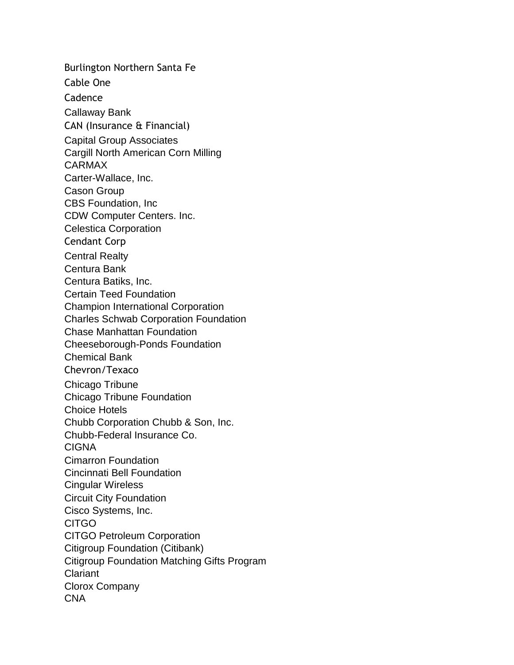Burlington Northern Santa Fe Cable One Cadence Callaway Bank CAN (Insurance & Financial) Capital Group Associates Cargill North American Corn Milling CARMAX Carter-Wallace, Inc. Cason Group CBS Foundation, Inc CDW Computer Centers. Inc. Celestica Corporation Cendant Corp Central Realty Centura Bank Centura Batiks, Inc. Certain Teed Foundation Champion International Corporation Charles Schwab Corporation Foundation Chase Manhattan Foundation Cheeseborough-Ponds Foundation Chemical Bank Chevron/Texaco Chicago Tribune Chicago Tribune Foundation Choice Hotels Chubb Corporation Chubb & Son, Inc. Chubb-Federal Insurance Co. CIGNA Cimarron Foundation Cincinnati Bell Foundation Cingular Wireless Circuit City Foundation Cisco Systems, Inc. **CITGO** CITGO Petroleum Corporation Citigroup Foundation (Citibank) Citigroup Foundation Matching Gifts Program Clariant Clorox Company CNA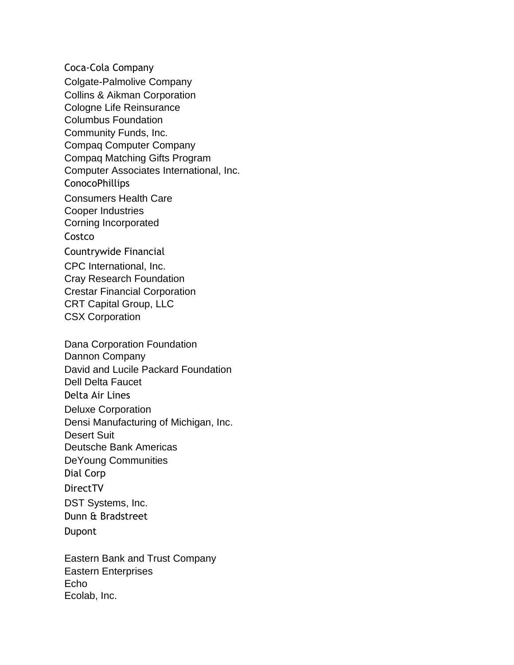Coca-Cola Company Colgate-Palmolive Company Collins & Aikman Corporation Cologne Life Reinsurance Columbus Foundation Community Funds, Inc. Compaq Computer Company Compaq Matching Gifts Program Computer Associates International, Inc. ConocoPhillips Consumers Health Care Cooper Industries Corning Incorporated Costco Countrywide Financial CPC International, Inc. Cray Research Foundation Crestar Financial Corporation CRT Capital Group, LLC CSX Corporation

Dana Corporation Foundation Dannon Company David and Lucile Packard Foundation Dell Delta Faucet Delta Air Lines Deluxe Corporation Densi Manufacturing of Michigan, Inc. Desert Suit Deutsche Bank Americas DeYoung Communities Dial Corp DirectTV DST Systems, Inc. Dunn & Bradstreet Dupont

Eastern Bank and Trust Company Eastern Enterprises Echo Ecolab, Inc.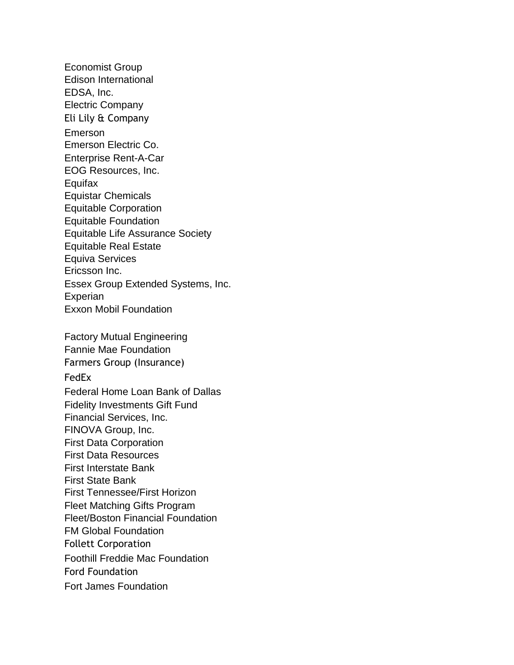Economist Group Edison International EDSA, Inc. Electric Company Eli Lily & Company Emerson Emerson Electric Co. Enterprise Rent-A-Car EOG Resources, Inc. **Equifax** Equistar Chemicals Equitable Corporation Equitable Foundation Equitable Life Assurance Society Equitable Real Estate Equiva Services Ericsson Inc. Essex Group Extended Systems, Inc. **Experian** Exxon Mobil Foundation Factory Mutual Engineering Fannie Mae Foundation Farmers Group (Insurance) FedEx Federal Home Loan Bank of Dallas Fidelity Investments Gift Fund Financial Services, Inc. FINOVA Group, Inc. First Data Corporation First Data Resources First Interstate Bank First State Bank First Tennessee/First Horizon Fleet Matching Gifts Program Fleet/Boston Financial Foundation FM Global Foundation Follett Corporation Foothill Freddie Mac Foundation Ford Foundation Fort James Foundation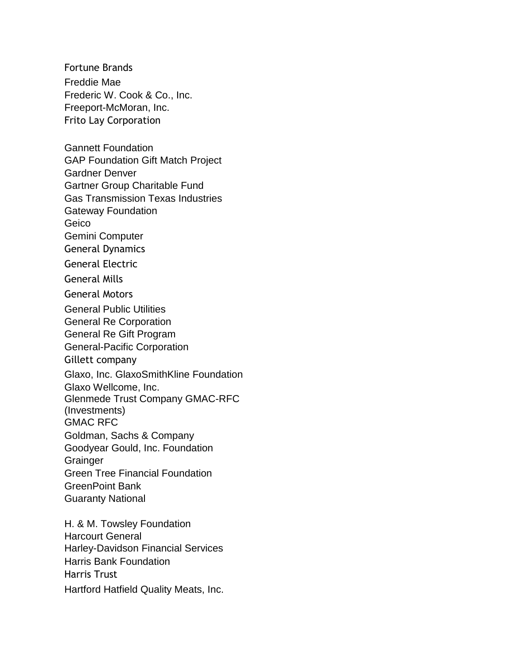Fortune Brands Freddie Mae Frederic W. Cook & Co., Inc. Freeport-McMoran, Inc. Frito Lay Corporation

Gannett Foundation GAP Foundation Gift Match Project Gardner Denver Gartner Group Charitable Fund Gas Transmission Texas Industries Gateway Foundation Geico Gemini Computer General Dynamics General Electric General Mills General Motors General Public Utilities General Re Corporation General Re Gift Program General-Pacific Corporation Gillett company Glaxo, Inc. GlaxoSmithKline Foundation Glaxo Wellcome, Inc. Glenmede Trust Company GMAC-RFC (Investments) GMAC RFC Goldman, Sachs & Company Goodyear Gould, Inc. Foundation **Grainger** Green Tree Financial Foundation GreenPoint Bank Guaranty National

H. & M. Towsley Foundation Harcourt General Harley-Davidson Financial Services Harris Bank Foundation Harris Trust Hartford Hatfield Quality Meats, Inc.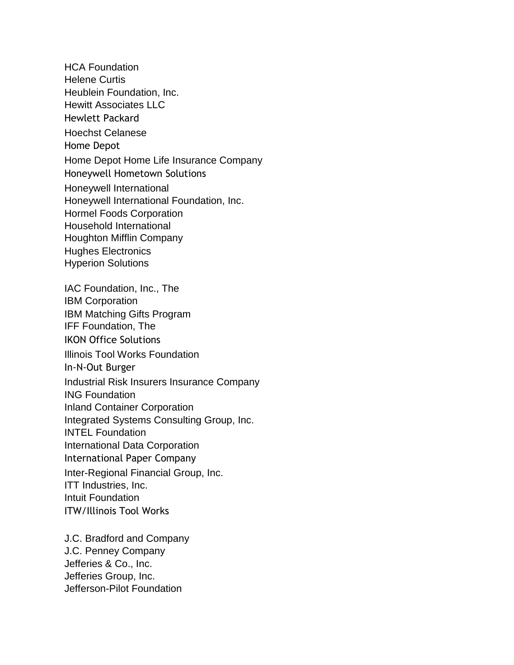HCA Foundation Helene Curtis Heublein Foundation, Inc. Hewitt Associates LLC Hewlett Packard Hoechst Celanese Home Depot Home Depot Home Life Insurance Company Honeywell Hometown Solutions Honeywell International Honeywell International Foundation, Inc. Hormel Foods Corporation Household International Houghton Mifflin Company Hughes Electronics Hyperion Solutions IAC Foundation, Inc., The IBM Corporation IBM Matching Gifts Program IFF Foundation, The IKON Office Solutions Illinois Tool Works Foundation In-N-Out Burger Industrial Risk Insurers Insurance Company ING Foundation Inland Container Corporation Integrated Systems Consulting Group, Inc. INTEL Foundation International Data Corporation International Paper Company Inter-Regional Financial Group, Inc. ITT Industries, Inc. Intuit Foundation ITW/Illinois Tool Works

J.C. Bradford and Company J.C. Penney Company Jefferies & Co., Inc. Jefferies Group, Inc. Jefferson-Pilot Foundation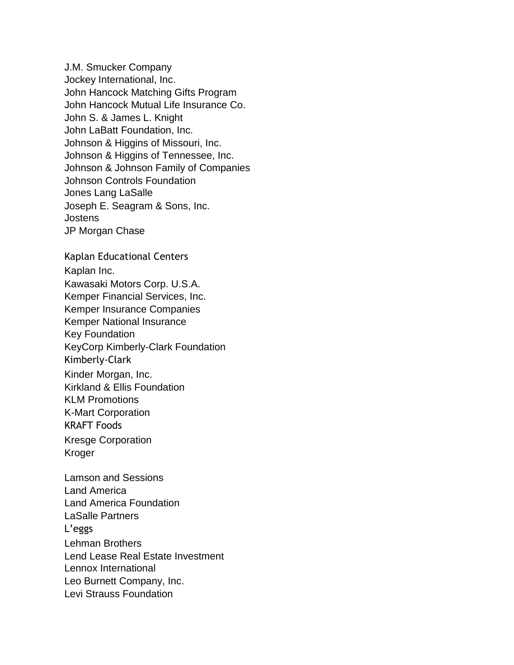J.M. Smucker Company Jockey International, Inc. John Hancock Matching Gifts Program John Hancock Mutual Life Insurance Co. John S. & James L. Knight John LaBatt Foundation, Inc. Johnson & Higgins of Missouri, Inc. Johnson & Higgins of Tennessee, Inc. Johnson & Johnson Family of Companies Johnson Controls Foundation Jones Lang LaSalle Joseph E. Seagram & Sons, Inc. **Jostens** JP Morgan Chase Kaplan Educational Centers Kaplan Inc. Kawasaki Motors Corp. U.S.A. Kemper Financial Services, Inc. Kemper Insurance Companies Kemper National Insurance Key Foundation KeyCorp Kimberly-Clark Foundation Kimberly-Clark Kinder Morgan, Inc. Kirkland & Ellis Foundation KLM Promotions K-Mart Corporation KRAFT Foods Kresge Corporation Kroger Lamson and Sessions Land America Land America Foundation LaSalle Partners L'eggs Lehman Brothers Lend Lease Real Estate Investment Lennox International Leo Burnett Company, Inc. Levi Strauss Foundation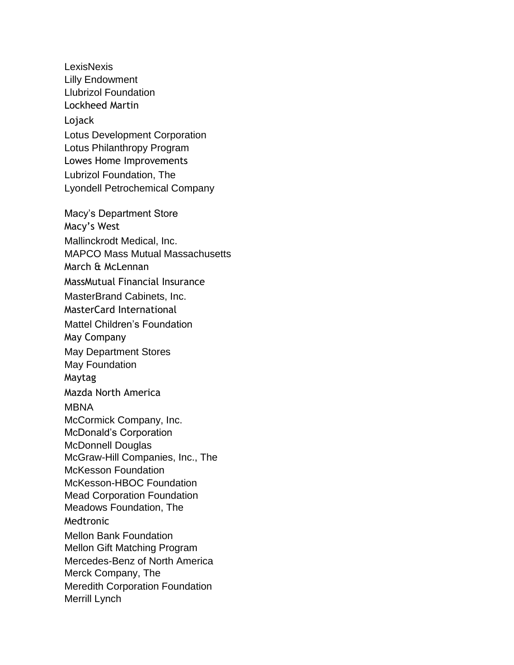**LexisNexis** Lilly Endowment Llubrizol Foundation Lockheed Martin Lojack Lotus Development Corporation Lotus Philanthropy Program Lowes Home Improvements Lubrizol Foundation, The Lyondell Petrochemical Company Macy's Department Store Macy's West Mallinckrodt Medical, Inc. MAPCO Mass Mutual Massachusetts March & McLennan MassMutual Financial Insurance MasterBrand Cabinets, Inc. MasterCard International Mattel Children's Foundation May Company May Department Stores May Foundation Maytag Mazda North America MBNA McCormick Company, Inc. McDonald's Corporation McDonnell Douglas McGraw-Hill Companies, Inc., The McKesson Foundation McKesson-HBOC Foundation Mead Corporation Foundation Meadows Foundation, The Medtronic Mellon Bank Foundation Mellon Gift Matching Program Mercedes-Benz of North America Merck Company, The Meredith Corporation Foundation Merrill Lynch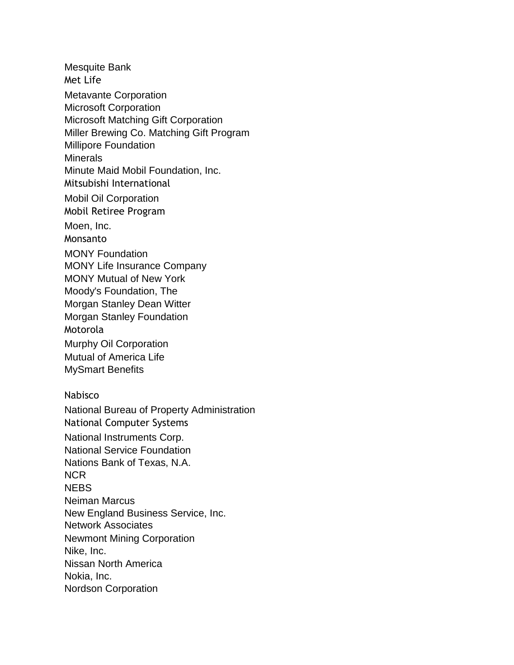Mesquite Bank Met Life Metavante Corporation Microsoft Corporation Microsoft Matching Gift Corporation Miller Brewing Co. Matching Gift Program Millipore Foundation **Minerals** Minute Maid Mobil Foundation, Inc. Mitsubishi International Mobil Oil Corporation Mobil Retiree Program Moen, Inc. Monsanto MONY Foundation MONY Life Insurance Company MONY Mutual of New York Moody's Foundation, The Morgan Stanley Dean Witter Morgan Stanley Foundation Motorola Murphy Oil Corporation Mutual of America Life MySmart Benefits Nabisco National Bureau of Property Administration National Computer Systems National Instruments Corp. National Service Foundation Nations Bank of Texas, N.A. NCR **NFBS** Neiman Marcus New England Business Service, Inc. Network Associates Newmont Mining Corporation Nike, Inc. Nissan North America Nokia, Inc. Nordson Corporation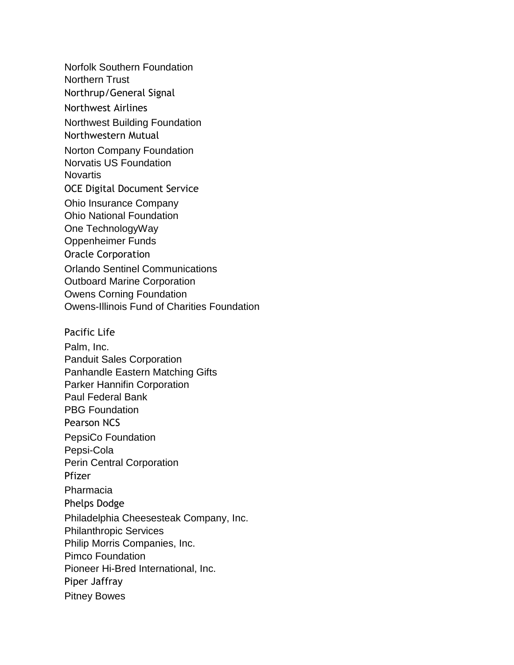Norfolk Southern Foundation Northern Trust Northrup/General Signal Northwest Airlines Northwest Building Foundation Northwestern Mutual Norton Company Foundation Norvatis US Foundation **Novartis** OCE Digital Document Service Ohio Insurance Company Ohio National Foundation One TechnologyWay Oppenheimer Funds Oracle Corporation Orlando Sentinel Communications Outboard Marine Corporation Owens Corning Foundation Owens-Illinois Fund of Charities Foundation Pacific Life Palm, Inc. Panduit Sales Corporation Panhandle Eastern Matching Gifts Parker Hannifin Corporation Paul Federal Bank PBG Foundation Pearson NCS PepsiCo Foundation Pepsi-Cola Perin Central Corporation Pfizer Pharmacia Phelps Dodge Philadelphia Cheesesteak Company, Inc. Philanthropic Services Philip Morris Companies, Inc. Pimco Foundation Pioneer Hi-Bred International, Inc. Piper Jaffray Pitney Bowes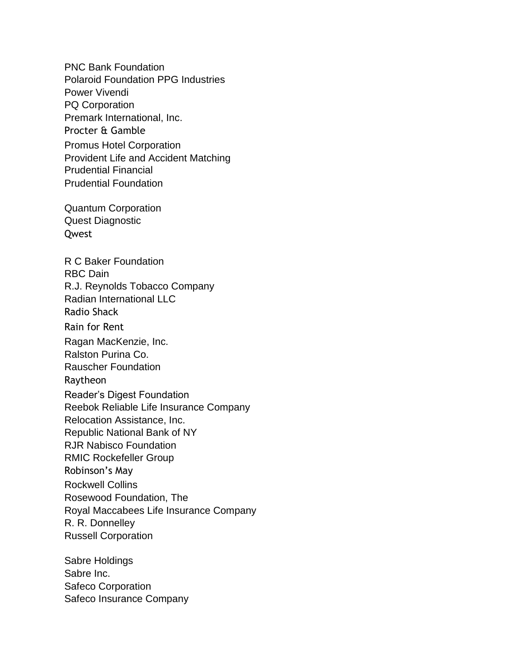PNC Bank Foundation Polaroid Foundation PPG Industries Power Vivendi PQ Corporation Premark International, Inc. Procter & Gamble Promus Hotel Corporation Provident Life and Accident Matching Prudential Financial Prudential Foundation

Quantum Corporation Quest Diagnostic Qwest

R C Baker Foundation RBC Dain R.J. Reynolds Tobacco Company Radian International LLC Radio Shack Rain for Rent Ragan MacKenzie, Inc. Ralston Purina Co. Rauscher Foundation Raytheon Reader's Digest Foundation Reebok Reliable Life Insurance Company Relocation Assistance, Inc. Republic National Bank of NY RJR Nabisco Foundation RMIC Rockefeller Group Robinson's May Rockwell Collins Rosewood Foundation, The Royal Maccabees Life Insurance Company R. R. Donnelley Russell Corporation

Sabre Holdings Sabre Inc. Safeco Corporation Safeco Insurance Company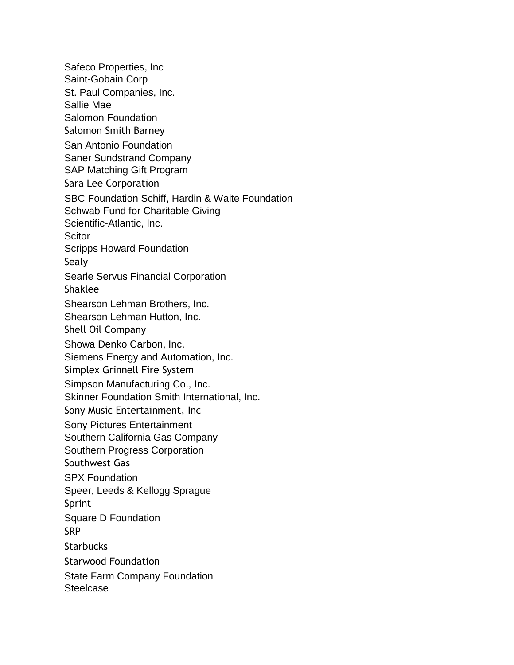Safeco Properties, Inc Saint-Gobain Corp St. Paul Companies, Inc. Sallie Mae Salomon Foundation Salomon Smith Barney San Antonio Foundation Saner Sundstrand Company SAP Matching Gift Program Sara Lee Corporation SBC Foundation Schiff, Hardin & Waite Foundation Schwab Fund for Charitable Giving Scientific-Atlantic, Inc. **Scitor** Scripps Howard Foundation Sealy Searle Servus Financial Corporation Shaklee Shearson Lehman Brothers, Inc. Shearson Lehman Hutton, Inc. Shell Oil Company Showa Denko Carbon, Inc. Siemens Energy and Automation, Inc. Simplex Grinnell Fire System Simpson Manufacturing Co., Inc. Skinner Foundation Smith International, Inc. Sony Music Entertainment, Inc Sony Pictures Entertainment Southern California Gas Company Southern Progress Corporation Southwest Gas SPX Foundation Speer, Leeds & Kellogg Sprague Sprint Square D Foundation SRP **Starbucks** Starwood Foundation State Farm Company Foundation **Steelcase**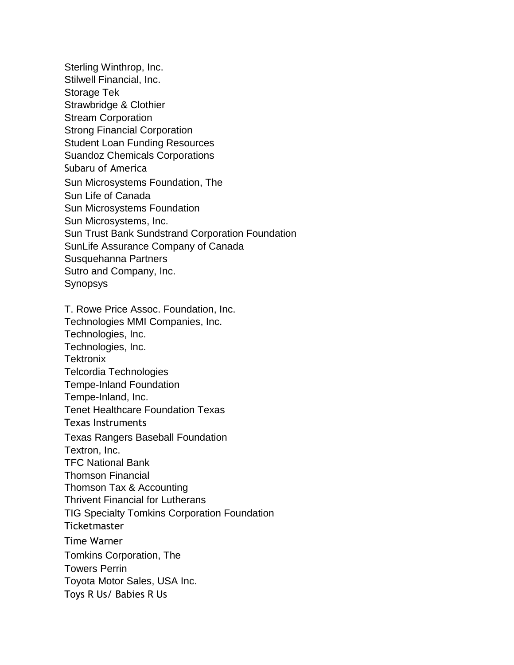Sterling Winthrop, Inc. Stilwell Financial, Inc. Storage Tek Strawbridge & Clothier Stream Corporation Strong Financial Corporation Student Loan Funding Resources Suandoz Chemicals Corporations Subaru of America Sun Microsystems Foundation, The Sun Life of Canada Sun Microsystems Foundation Sun Microsystems, Inc. Sun Trust Bank Sundstrand Corporation Foundation SunLife Assurance Company of Canada Susquehanna Partners Sutro and Company, Inc. Synopsys

T. Rowe Price Assoc. Foundation, Inc. Technologies MMI Companies, Inc. Technologies, Inc. Technologies, Inc. **Tektronix** Telcordia Technologies Tempe-Inland Foundation Tempe-Inland, Inc. Tenet Healthcare Foundation Texas Texas Instruments Texas Rangers Baseball Foundation Textron, Inc. TFC National Bank Thomson Financial Thomson Tax & Accounting Thrivent Financial for Lutherans TIG Specialty Tomkins Corporation Foundation **Ticketmaster** Time Warner Tomkins Corporation, The Towers Perrin Toyota Motor Sales, USA Inc. Toys R Us/ Babies R Us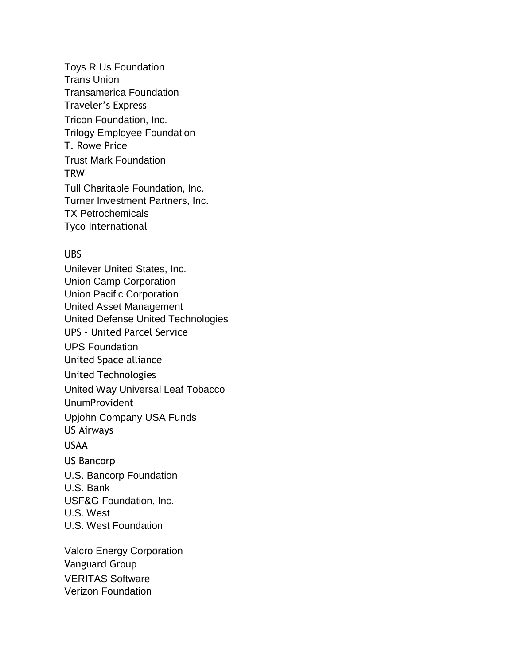Toys R Us Foundation Trans Union Transamerica Foundation Traveler's Express Tricon Foundation, Inc. Trilogy Employee Foundation T. Rowe Price Trust Mark Foundation **TRW** Tull Charitable Foundation, Inc. Turner Investment Partners, Inc. TX Petrochemicals Tyco International

## UBS

Unilever United States, Inc. Union Camp Corporation Union Pacific Corporation United Asset Management United Defense United Technologies UPS - United Parcel Service UPS Foundation United Space alliance United Technologies United Way Universal Leaf Tobacco UnumProvident Upjohn Company USA Funds US Airways USAA US Bancorp U.S. Bancorp Foundation U.S. Bank USF&G Foundation, Inc. U.S. West U.S. West Foundation Valcro Energy Corporation

Vanguard Group VERITAS Software Verizon Foundation